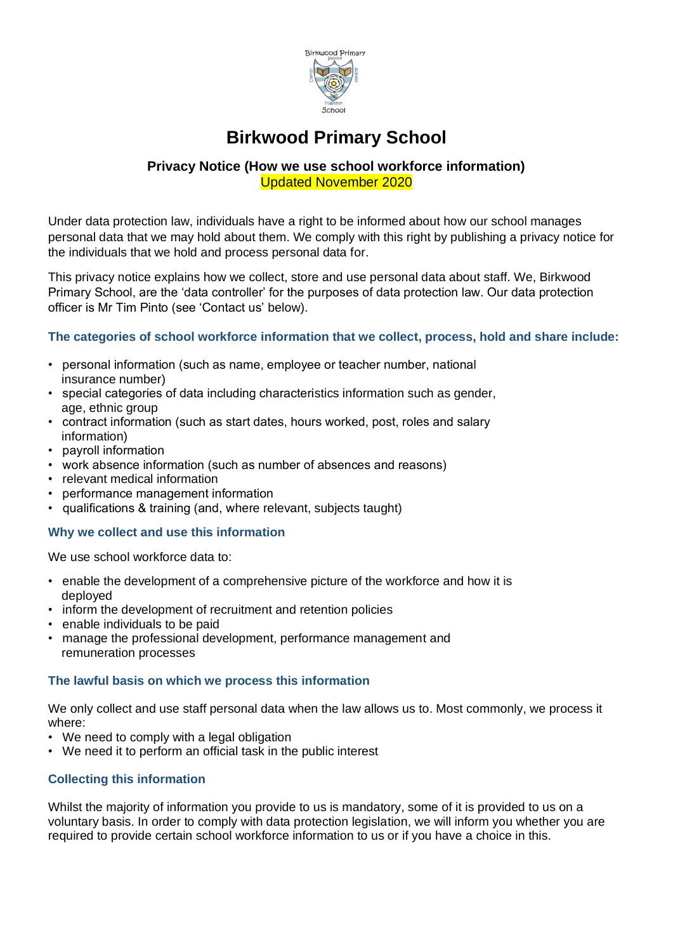

# **Birkwood Primary School**

# **Privacy Notice (How we use school workforce information)** Updated November 2020

Under data protection law, individuals have a right to be informed about how our school manages personal data that we may hold about them. We comply with this right by publishing a privacy notice for the individuals that we hold and process personal data for.

This privacy notice explains how we collect, store and use personal data about staff. We, Birkwood Primary School, are the 'data controller' for the purposes of data protection law. Our data protection officer is Mr Tim Pinto (see 'Contact us' below).

# **The categories of school workforce information that we collect, process, hold and share include:**

- personal information (such as name, employee or teacher number, national insurance number)
- special categories of data including characteristics information such as gender, age, ethnic group
- contract information (such as start dates, hours worked, post, roles and salary information)
- payroll information
- work absence information (such as number of absences and reasons)
- relevant medical information
- performance management information
- qualifications & training (and, where relevant, subjects taught)

# **Why we collect and use this information**

We use school workforce data to:

- enable the development of a comprehensive picture of the workforce and how it is deployed
- inform the development of recruitment and retention policies
- enable individuals to be paid
- manage the professional development, performance management and remuneration processes

# **The lawful basis on which we process this information**

We only collect and use staff personal data when the law allows us to. Most commonly, we process it where:

- We need to comply with a legal obligation
- We need it to perform an official task in the public interest

# **Collecting this information**

Whilst the majority of information you provide to us is mandatory, some of it is provided to us on a voluntary basis. In order to comply with data protection legislation, we will inform you whether you are required to provide certain school workforce information to us or if you have a choice in this.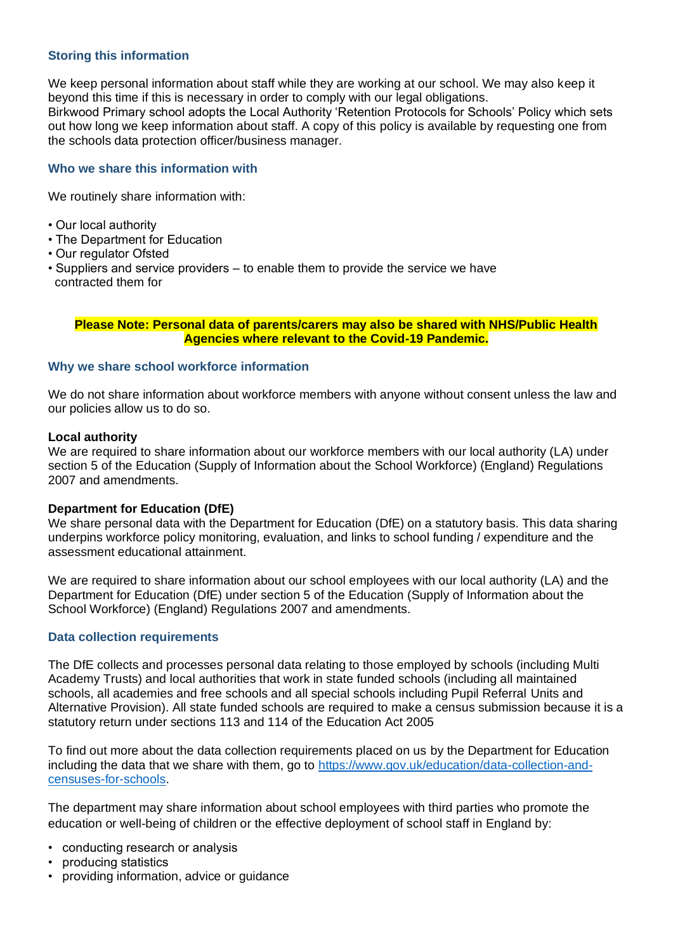## **Storing this information**

We keep personal information about staff while they are working at our school. We may also keep it beyond this time if this is necessary in order to comply with our legal obligations.

Birkwood Primary school adopts the Local Authority 'Retention Protocols for Schools' Policy which sets out how long we keep information about staff. A copy of this policy is available by requesting one from the schools data protection officer/business manager.

## **Who we share this information with**

We routinely share information with:

- Our local authority
- The Department for Education
- Our regulator Ofsted
- Suppliers and service providers to enable them to provide the service we have contracted them for

#### **Please Note: Personal data of parents/carers may also be shared with NHS/Public Health Agencies where relevant to the Covid-19 Pandemic.**

## **Why we share school workforce information**

We do not share information about workforce members with anyone without consent unless the law and our policies allow us to do so.

## **Local authority**

We are required to share information about our workforce members with our local authority (LA) under section 5 of the Education (Supply of Information about the School Workforce) (England) Regulations 2007 and amendments.

#### **Department for Education (DfE)**

We share personal data with the Department for Education (DfE) on a statutory basis. This data sharing underpins workforce policy monitoring, evaluation, and links to school funding / expenditure and the assessment educational attainment.

We are required to share information about our school employees with our local authority (LA) and the Department for Education (DfE) under section 5 of the Education (Supply of Information about the School Workforce) (England) Regulations 2007 and amendments.

#### **Data collection requirements**

The DfE collects and processes personal data relating to those employed by schools (including Multi Academy Trusts) and local authorities that work in state funded schools (including all maintained schools, all academies and free schools and all special schools including Pupil Referral Units and Alternative Provision). All state funded schools are required to make a census submission because it is a statutory return under sections 113 and 114 of the Education Act 2005

To find out more about the data collection requirements placed on us by the Department for Education including the data that we share with them, go to [https://www.gov.uk/education/data-collection-and](https://www.gov.uk/education/data-collection-and-censuses-for-schools)[censuses-for-schools.](https://www.gov.uk/education/data-collection-and-censuses-for-schools)

The department may share information about school employees with third parties who promote the education or well-being of children or the effective deployment of school staff in England by:

- conducting research or analysis
- producing statistics
- providing information, advice or guidance